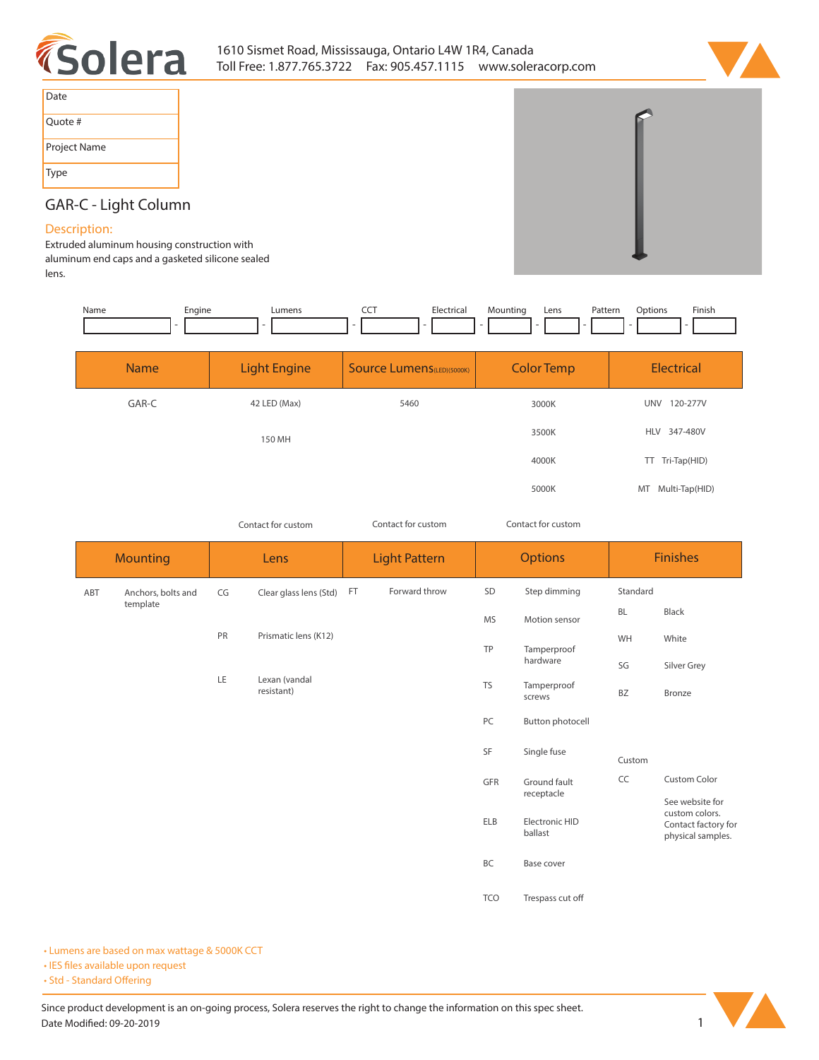



| Date         |
|--------------|
| Quote #      |
| Project Name |
| Type         |

## **GAR-C - Light Column**

## **Description:**

**Extruded aluminum housing construction with aluminum end caps and a gasketed silicone sealed lens.**

| Engine<br>Lumens    |                                   | Pattern<br>Lens          | Finish<br>Options  |  |
|---------------------|-----------------------------------|--------------------------|--------------------|--|
| <b>Light Engine</b> | <b>Source Lumens</b> (LED)(5000K) | <b>Color Temp</b>        | Electrical         |  |
| 42 LED (Max)        | 5460                              | <b>UNV</b><br>120-277V   |                    |  |
| 150 MH              |                                   | 3500K                    | HLV 347-480V       |  |
|                     |                                   | 4000K                    | Tri-Tap(HID)<br>TT |  |
|                     |                                   | 5000K                    | MT Multi-Tap(HID)  |  |
|                     |                                   | Electrical<br><b>CCT</b> | Mounting<br>3000K  |  |

*Contact for custom Contact for custom*

*Contact for custom*

|     | <b>Mounting</b>    | Lens |                             | <b>Light Pattern</b><br><b>Options</b> |               |                           | <b>Finishes</b>  |                                          |                     |
|-----|--------------------|------|-----------------------------|----------------------------------------|---------------|---------------------------|------------------|------------------------------------------|---------------------|
| ABT | Anchors, bolts and | CG   | Clear glass lens (Std)      | FT.                                    | Forward throw | SD                        | Step dimming     | Standard                                 |                     |
|     | template           |      |                             |                                        | <b>MS</b>     | Motion sensor             | <b>BL</b>        | Black                                    |                     |
|     |                    | PR   | Prismatic lens (K12)        |                                        |               | TP                        | Tamperproof      | WH                                       | White               |
|     |                    |      |                             |                                        | hardware      | SG                        | Silver Grey      |                                          |                     |
|     |                    | LE   | Lexan (vandal<br>resistant) |                                        | <b>TS</b>     | Tamperproof<br>screws     | BZ               | Bronze                                   |                     |
|     |                    |      |                             |                                        |               | PC                        | Button photocell |                                          |                     |
|     |                    |      |                             |                                        |               | SF                        | Single fuse      | Custom                                   |                     |
|     |                    |      |                             |                                        |               | GFR<br>Ground fault       | receptacle       | CC                                       | <b>Custom Color</b> |
|     |                    |      |                             |                                        |               |                           |                  | See website for<br>custom colors.        |                     |
|     |                    |      |                             |                                        | ELB           | Electronic HID<br>ballast |                  | Contact factory for<br>physical samples. |                     |
|     |                    |      |                             |                                        |               | BC                        | Base cover       |                                          |                     |
|     |                    |      |                             |                                        |               | <b>TCO</b>                | Trespass cut off |                                          |                     |

**• Lumens are based on max wattage & 5000K CCT**

**• IES files available upon request** 

• Std - Standard Offering

Since product development is an on-going process, Solera reserves the right to change the information on this spec sheet. **Date Modified: 09-20-2019** 1